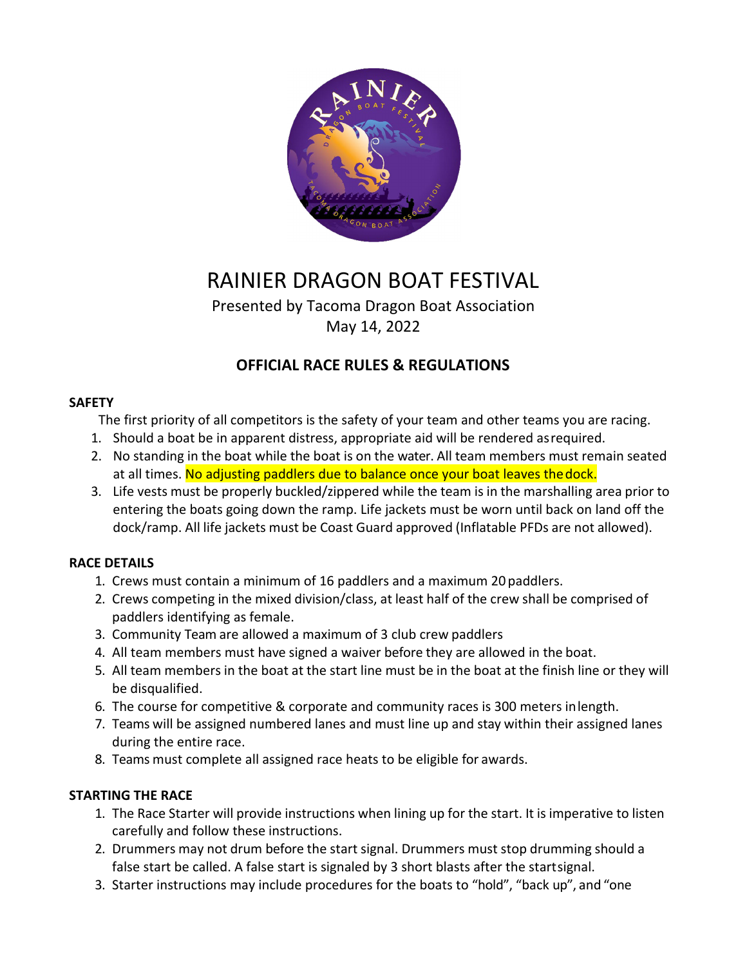

# RAINIER DRAGON BOAT FESTIVAL

Presented by Tacoma Dragon Boat Association May 14, 2022

### **OFFICIAL RACE RULES & REGULATIONS**

#### **SAFETY**

The first priority of all competitors is the safety of your team and other teams you are racing.

- 1. Should a boat be in apparent distress, appropriate aid will be rendered asrequired.
- 2. No standing in the boat while the boat is on the water. All team members must remain seated at all times. No adjusting paddlers due to balance once your boat leaves the dock.
- 3. Life vests must be properly buckled/zippered while the team is in the marshalling area prior to entering the boats going down the ramp. Life jackets must be worn until back on land off the dock/ramp. All life jackets must be Coast Guard approved (Inflatable PFDs are not allowed).

#### **RACE DETAILS**

- 1. Crews must contain a minimum of 16 paddlers and a maximum 20 paddlers.
- 2. Crews competing in the mixed division/class, at least half of the crew shall be comprised of paddlers identifying as female.
- 3. Community Team are allowed a maximum of 3 club crew paddlers
- 4. All team members must have signed a waiver before they are allowed in the boat.
- 5. All team members in the boat at the start line must be in the boat at the finish line or they will be disqualified.
- 6. The course for competitive & corporate and community races is 300 meters inlength.
- 7. Teams will be assigned numbered lanes and must line up and stay within their assigned lanes during the entire race.
- 8. Teams must complete all assigned race heats to be eligible for awards.

#### **STARTING THE RACE**

- 1. The Race Starter will provide instructions when lining up for the start. It is imperative to listen carefully and follow these instructions.
- 2. Drummers may not drum before the start signal. Drummers must stop drumming should a false start be called. A false start is signaled by 3 short blasts after the startsignal.
- 3. Starter instructions may include procedures for the boats to "hold", "back up", and "one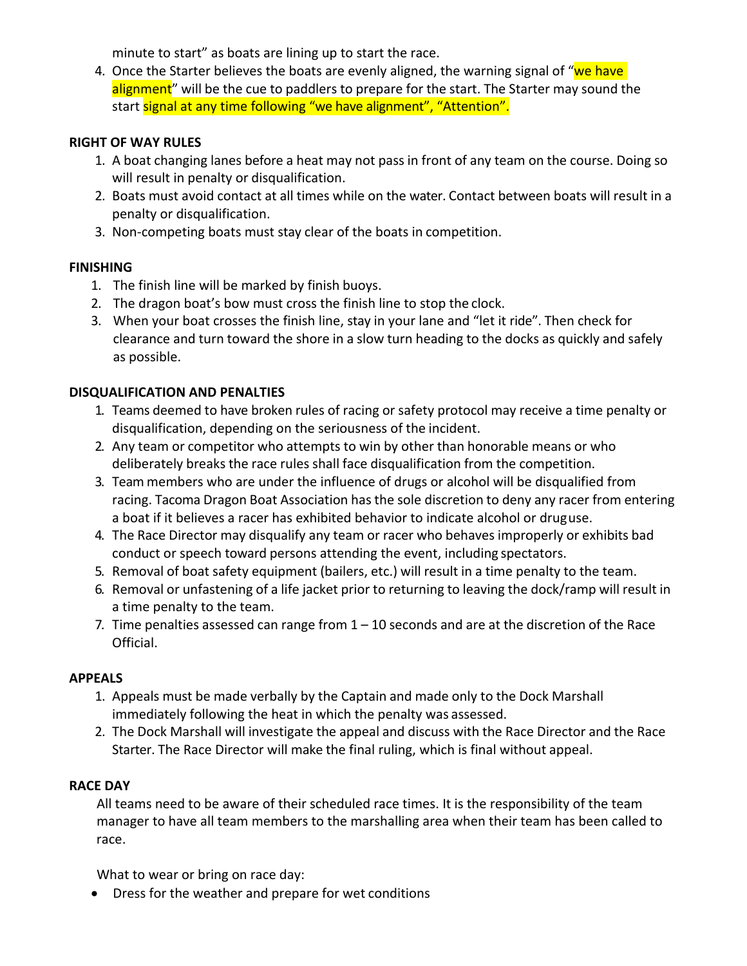minute to start" as boats are lining up to start the race.

4. Once the Starter believes the boats are evenly aligned, the warning signal of "we have alignment" will be the cue to paddlers to prepare for the start. The Starter may sound the start signal at any time following "we have alignment", "Attention".

#### **RIGHT OF WAY RULES**

- 1. A boat changing lanes before a heat may not pass in front of any team on the course. Doing so will result in penalty or disqualification.
- 2. Boats must avoid contact at all times while on the water. Contact between boats will result in a penalty or disqualification.
- 3. Non‐competing boats must stay clear of the boats in competition.

#### **FINISHING**

- 1. The finish line will be marked by finish buoys.
- 2. The dragon boat's bow must cross the finish line to stop the clock.
- 3. When your boat crosses the finish line, stay in your lane and "let it ride". Then check for clearance and turn toward the shore in a slow turn heading to the docks as quickly and safely as possible.

#### **DISQUALIFICATION AND PENALTIES**

- 1. Teams deemed to have broken rules of racing or safety protocol may receive a time penalty or disqualification, depending on the seriousness of the incident.
- 2. Any team or competitor who attempts to win by other than honorable means or who deliberately breaks the race rules shall face disqualification from the competition.
- 3. Team members who are under the influence of drugs or alcohol will be disqualified from racing. Tacoma Dragon Boat Association has the sole discretion to deny any racer from entering a boat if it believes a racer has exhibited behavior to indicate alcohol or druguse.
- 4. The Race Director may disqualify any team or racer who behaves improperly or exhibits bad conduct or speech toward persons attending the event, including spectators.
- 5. Removal of boat safety equipment (bailers, etc.) will result in a time penalty to the team.
- 6. Removal or unfastening of a life jacket prior to returning to leaving the dock/ramp will result in a time penalty to the team.
- 7. Time penalties assessed can range from  $1 10$  seconds and are at the discretion of the Race Official.

#### **APPEALS**

- 1. Appeals must be made verbally by the Captain and made only to the Dock Marshall immediately following the heat in which the penalty was assessed.
- 2. The Dock Marshall will investigate the appeal and discuss with the Race Director and the Race Starter. The Race Director will make the final ruling, which is final without appeal.

#### **RACE DAY**

All teams need to be aware of their scheduled race times. It is the responsibility of the team manager to have all team members to the marshalling area when their team has been called to race.

What to wear or bring on race day:

Dress for the weather and prepare for wet conditions